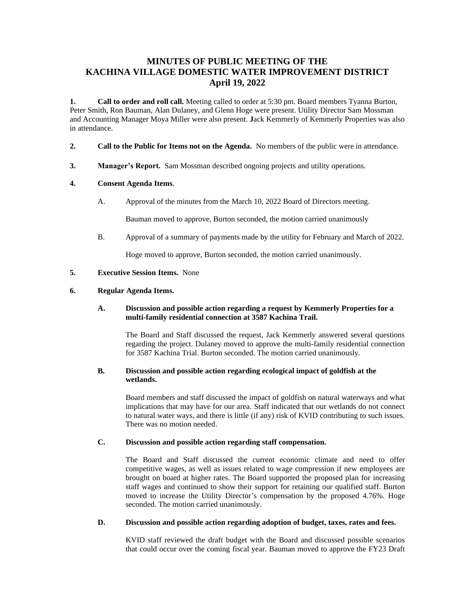# **MINUTES OF PUBLIC MEETING OF THE KACHINA VILLAGE DOMESTIC WATER IMPROVEMENT DISTRICT April 19, 2022**

**1. Call to order and roll call.** Meeting called to order at 5:30 pm. Board members Tyanna Burton, Peter Smith, Ron Bauman, Alan Dulaney, and Glenn Hoge were present. Utility Director Sam Mossman and Accounting Manager Moya Miller were also present. **J**ack Kemmerly of Kemmerly Properties was also in attendance.

- **2. Call to the Public for Items not on the Agenda.** No members of the public were in attendance.
- **3. Manager's Report.** Sam Mossman described ongoing projects and utility operations.

## **4. Consent Agenda Items**.

A. Approval of the minutes from the March 10, 2022 Board of Directors meeting.

Bauman moved to approve, Burton seconded, the motion carried unanimously

B. Approval of a summary of payments made by the utility for February and March of 2022.

Hoge moved to approve, Burton seconded, the motion carried unanimously.

#### **5. Executive Session Items.** None

#### **6. Regular Agenda Items.**

#### **A. Discussion and possible action regarding a request by Kemmerly Properties for a multi-family residential connection at 3587 Kachina Trail.**

The Board and Staff discussed the request, Jack Kemmerly answered several questions regarding the project. Dulaney moved to approve the multi-family residential connection for 3587 Kachina Trial. Burton seconded. The motion carried unanimously.

#### **B. Discussion and possible action regarding ecological impact of goldfish at the wetlands.**

Board members and staff discussed the impact of goldfish on natural waterways and what implications that may have for our area. Staff indicated that our wetlands do not connect to natural water ways, and there is little (if any) risk of KVID contributing to such issues. There was no motion needed.

### **C. Discussion and possible action regarding staff compensation.**

The Board and Staff discussed the current economic climate and need to offer competitive wages, as well as issues related to wage compression if new employees are brought on board at higher rates. The Board supported the proposed plan for increasing staff wages and continued to show their support for retaining our qualified staff. Burton moved to increase the Utility Director's compensation by the proposed 4.76%. Hoge seconded. The motion carried unanimously.

### **D. Discussion and possible action regarding adoption of budget, taxes, rates and fees.**

KVID staff reviewed the draft budget with the Board and discussed possible scenarios that could occur over the coming fiscal year. Bauman moved to approve the FY23 Draft